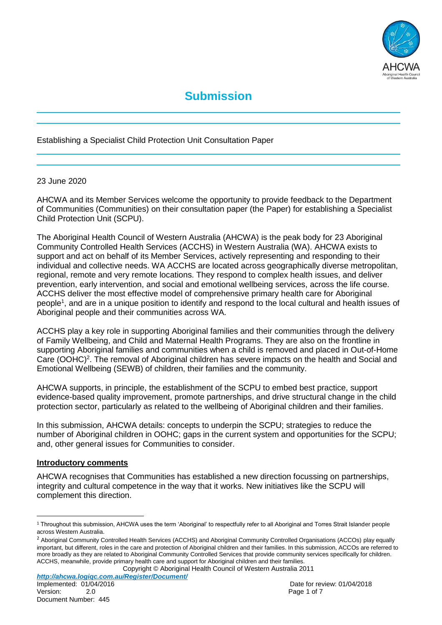

# **Submission**

Establishing a Specialist Child Protection Unit Consultation Paper

#### 23 June 2020

AHCWA and its Member Services welcome the opportunity to provide feedback to the Department of Communities (Communities) on their consultation paper (the Paper) for establishing a Specialist Child Protection Unit (SCPU).

The Aboriginal Health Council of Western Australia (AHCWA) is the peak body for 23 Aboriginal Community Controlled Health Services (ACCHS) in Western Australia (WA). AHCWA exists to support and act on behalf of its Member Services, actively representing and responding to their individual and collective needs. WA ACCHS are located across geographically diverse metropolitan, regional, remote and very remote locations. They respond to complex health issues, and deliver prevention, early intervention, and social and emotional wellbeing services, across the life course. ACCHS deliver the most effective model of comprehensive primary health care for Aboriginal people<sup>1</sup>, and are in a unique position to identify and respond to the local cultural and health issues of Aboriginal people and their communities across WA.

ACCHS play a key role in supporting Aboriginal families and their communities through the delivery of Family Wellbeing, and Child and Maternal Health Programs. They are also on the frontline in supporting Aboriginal families and communities when a child is removed and placed in Out-of-Home Care (OOHC)<sup>2</sup>. The removal of Aboriginal children has severe impacts on the health and Social and Emotional Wellbeing (SEWB) of children, their families and the community.

AHCWA supports, in principle, the establishment of the SCPU to embed best practice, support evidence-based quality improvement, promote partnerships, and drive structural change in the child protection sector, particularly as related to the wellbeing of Aboriginal children and their families.

In this submission, AHCWA details: concepts to underpin the SCPU; strategies to reduce the number of Aboriginal children in OOHC; gaps in the current system and opportunities for the SCPU; and, other general issues for Communities to consider.

#### **Introductory comments**

AHCWA recognises that Communities has established a new direction focussing on partnerships, integrity and cultural competence in the way that it works. New initiatives like the SCPU will complement this direction.

Copyright © Aboriginal Health Council of Western Australia 2011

 $\overline{a}$ 

 $1$  Throughout this submission, AHCWA uses the term 'Aboriginal' to respectfully refer to all Aboriginal and Torres Strait Islander people across Western Australia.

<sup>&</sup>lt;sup>2</sup> Aboriginal Community Controlled Health Services (ACCHS) and Aboriginal Community Controlled Organisations (ACCOs) play equally important, but different, roles in the care and protection of Aboriginal children and their families. In this submission, ACCOs are referred to more broadly as they are related to Aboriginal Community Controlled Services that provide community services specifically for children. ACCHS, meanwhile, provide primary health care and support for Aboriginal children and their families.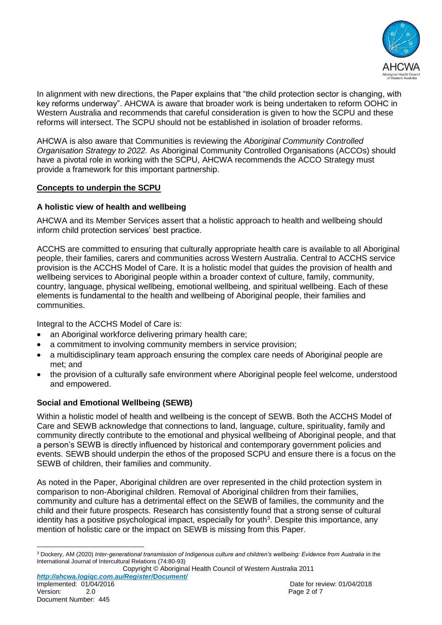

In alignment with new directions, the Paper explains that "the child protection sector is changing, with key reforms underway". AHCWA is aware that broader work is being undertaken to reform OOHC in Western Australia and recommends that careful consideration is given to how the SCPU and these reforms will intersect. The SCPU should not be established in isolation of broader reforms.

AHCWA is also aware that Communities is reviewing the *Aboriginal Community Controlled Organisation Strategy to 2022.* As Aboriginal Community Controlled Organisations (ACCOs) should have a pivotal role in working with the SCPU, AHCWA recommends the ACCO Strategy must provide a framework for this important partnership.

### **Concepts to underpin the SCPU**

# **A holistic view of health and wellbeing**

AHCWA and its Member Services assert that a holistic approach to health and wellbeing should inform child protection services' best practice.

ACCHS are committed to ensuring that culturally appropriate health care is available to all Aboriginal people, their families, carers and communities across Western Australia. Central to ACCHS service provision is the ACCHS Model of Care. It is a holistic model that guides the provision of health and wellbeing services to Aboriginal people within a broader context of culture, family, community, country, language, physical wellbeing, emotional wellbeing, and spiritual wellbeing. Each of these elements is fundamental to the health and wellbeing of Aboriginal people, their families and communities.

Integral to the ACCHS Model of Care is:

- an Aboriginal workforce delivering primary health care;
- a commitment to involving community members in service provision;
- a multidisciplinary team approach ensuring the complex care needs of Aboriginal people are met; and
- the provision of a culturally safe environment where Aboriginal people feel welcome, understood and empowered.

# **Social and Emotional Wellbeing (SEWB)**

Within a holistic model of health and wellbeing is the concept of SEWB. Both the ACCHS Model of Care and SEWB acknowledge that connections to land, language, culture, spirituality, family and community directly contribute to the emotional and physical wellbeing of Aboriginal people, and that a person's SEWB is directly influenced by historical and contemporary government policies and events. SEWB should underpin the ethos of the proposed SCPU and ensure there is a focus on the SEWB of children, their families and community.

As noted in the Paper, Aboriginal children are over represented in the child protection system in comparison to non-Aboriginal children. Removal of Aboriginal children from their families, community and culture has a detrimental effect on the SEWB of families, the community and the child and their future prospects. Research has consistently found that a strong sense of cultural identity has a positive psychological impact, especially for youth<sup>3</sup>. Despite this importance, any mention of holistic care or the impact on SEWB is missing from this Paper.

 $\overline{a}$ <sup>3</sup> Dockery, AM (2020) *Inter-generational transmission of Indigenous culture and children's wellbeing: Evidence from Australia* in the International Journal of Intercultural Relations (74:80-93)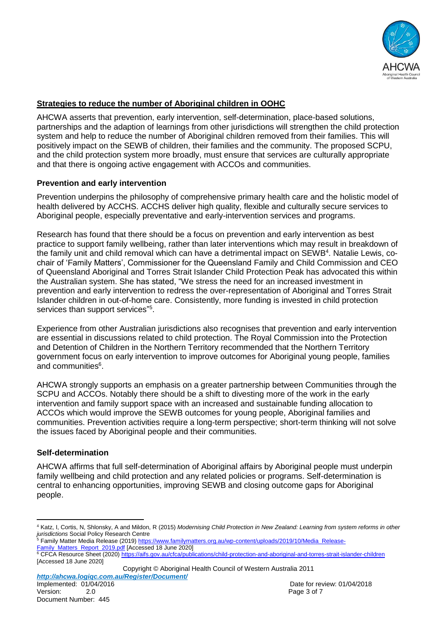

# **Strategies to reduce the number of Aboriginal children in OOHC**

AHCWA asserts that prevention, early intervention, self-determination, place-based solutions, partnerships and the adaption of learnings from other jurisdictions will strengthen the child protection system and help to reduce the number of Aboriginal children removed from their families. This will positively impact on the SEWB of children, their families and the community. The proposed SCPU, and the child protection system more broadly, must ensure that services are culturally appropriate and that there is ongoing active engagement with ACCOs and communities.

### **Prevention and early intervention**

Prevention underpins the philosophy of comprehensive primary health care and the holistic model of health delivered by ACCHS. ACCHS deliver high quality, flexible and culturally secure services to Aboriginal people, especially preventative and early-intervention services and programs.

Research has found that there should be a focus on prevention and early intervention as best practice to support family wellbeing, rather than later interventions which may result in breakdown of the family unit and child removal which can have a detrimental impact on SEWB<sup>4</sup>. Natalie Lewis, cochair of 'Family Matters', Commissioner for the Queensland Family and Child Commission and CEO of Queensland Aboriginal and Torres Strait Islander Child Protection Peak has advocated this within the Australian system. She has stated, "We stress the need for an increased investment in prevention and early intervention to redress the over-representation of Aboriginal and Torres Strait Islander children in out-of-home care. Consistently, more funding is invested in child protection services than support services"<sup>5</sup>.

Experience from other Australian jurisdictions also recognises that prevention and early intervention are essential in discussions related to child protection. The Royal Commission into the Protection and Detention of Children in the Northern Territory recommended that the Northern Territory government focus on early intervention to improve outcomes for Aboriginal young people, families and communities<sup>6</sup>.

AHCWA strongly supports an emphasis on a greater partnership between Communities through the SCPU and ACCOs. Notably there should be a shift to divesting more of the work in the early intervention and family support space with an increased and sustainable funding allocation to ACCOs which would improve the SEWB outcomes for young people, Aboriginal families and communities. Prevention activities require a long-term perspective; short-term thinking will not solve the issues faced by Aboriginal people and their communities.

#### **Self-determination**

AHCWA affirms that full self-determination of Aboriginal affairs by Aboriginal people must underpin family wellbeing and child protection and any related policies or programs. Self-determination is central to enhancing opportunities, improving SEWB and closing outcome gaps for Aboriginal people.

[Family\\_Matters\\_Report\\_2019.pdf](https://www.familymatters.org.au/wp-content/uploads/2019/10/Media_Release-Family_Matters_Report_2019.pdf) [Accessed 18 June 2020]

<sup>6</sup> CFCA Resource Sheet (2020[\) https://aifs.gov.au/cfca/publications/child-protection-and-aboriginal-and-torres-strait-islander-children](https://aifs.gov.au/cfca/publications/child-protection-and-aboriginal-and-torres-strait-islander-children) [Accessed 18 June 2020]

Copyright © Aboriginal Health Council of Western Australia 2011 *http://ahcwa.logiqc.com.au/Register/Document/*

 $\overline{a}$ <sup>4</sup> Katz, I, Cortis, N, Shlonsky, A and Mildon, R (2015) *Modernising Child Protection in New Zealand: Learning from system reforms in other jurisdictions* Social Policy Research Centre

<sup>&</sup>lt;sup>5</sup> Family Matter Media Release (2019) [https://www.familymatters.org.au/wp-content/uploads/2019/10/Media\\_Release-](https://www.familymatters.org.au/wp-content/uploads/2019/10/Media_Release-Family_Matters_Report_2019.pdf)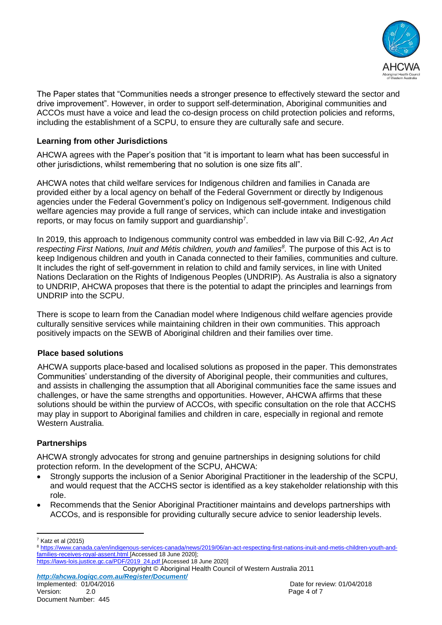

The Paper states that "Communities needs a stronger presence to effectively steward the sector and drive improvement". However, in order to support self-determination, Aboriginal communities and ACCOs must have a voice and lead the co-design process on child protection policies and reforms, including the establishment of a SCPU, to ensure they are culturally safe and secure.

## **Learning from other Jurisdictions**

AHCWA agrees with the Paper's position that "it is important to learn what has been successful in other jurisdictions, whilst remembering that no solution is one size fits all".

AHCWA notes that child welfare services for Indigenous children and families in Canada are provided either by a local agency on behalf of the Federal Government or directly by Indigenous agencies under the Federal Government's policy on Indigenous self-government. Indigenous child welfare agencies may provide a full range of services, which can include intake and investigation reports, or may focus on family support and guardianship<sup>7</sup>.

In 2019, this approach to Indigenous community control was embedded in law via Bill C-92, *An Act respecting First Nations, Inuit and Métis children, youth and families<sup>8</sup> .* The purpose of this Act is to keep Indigenous children and youth in Canada connected to their families, communities and culture. It includes the right of self-government in relation to child and family services, in line with United Nations Declaration on the Rights of Indigenous Peoples (UNDRIP). As Australia is also a signatory to UNDRIP, AHCWA proposes that there is the potential to adapt the principles and learnings from UNDRIP into the SCPU.

There is scope to learn from the Canadian model where Indigenous child welfare agencies provide culturally sensitive services while maintaining children in their own communities. This approach positively impacts on the SEWB of Aboriginal children and their families over time.

# **Place based solutions**

AHCWA supports place-based and localised solutions as proposed in the paper. This demonstrates Communities' understanding of the diversity of Aboriginal people, their communities and cultures, and assists in challenging the assumption that all Aboriginal communities face the same issues and challenges, or have the same strengths and opportunities. However, AHCWA affirms that these solutions should be within the purview of ACCOs, with specific consultation on the role that ACCHS may play in support to Aboriginal families and children in care, especially in regional and remote Western Australia.

# **Partnerships**

AHCWA strongly advocates for strong and genuine partnerships in designing solutions for child protection reform. In the development of the SCPU, AHCWA:

- Strongly supports the inclusion of a Senior Aboriginal Practitioner in the leadership of the SCPU, and would request that the ACCHS sector is identified as a key stakeholder relationship with this role.
- Recommends that the Senior Aboriginal Practitioner maintains and develops partnerships with ACCOs, and is responsible for providing culturally secure advice to senior leadership levels.

*http://ahcwa.logiqc.com.au/Register/Document/* Implemented: 01/04/2016 **Date for review: 01/04/2018** Date for review: 01/04/2018 Version: 2.0 2.0 Page 4 of 7

 $\overline{a}$  $7$  Katz et al (2015)

<sup>8</sup> [https://www.canada.ca/en/indigenous-services-canada/news/2019/06/an-act-respecting-first-nations-inuit-and-metis-children-youth-and](https://www.canada.ca/en/indigenous-services-canada/news/2019/06/an-act-respecting-first-nations-inuit-and-metis-children-youth-and-families-receives-royal-assent.html)[families-receives-royal-assent.html](https://www.canada.ca/en/indigenous-services-canada/news/2019/06/an-act-respecting-first-nations-inuit-and-metis-children-youth-and-families-receives-royal-assent.html) [Accessed 18 June 2020]; [https://laws-lois.justice.gc.ca/PDF/2019\\_24.pdf](https://laws-lois.justice.gc.ca/PDF/2019_24.pdf) [Accessed 18 June 2020]

Copyright © Aboriginal Health Council of Western Australia 2011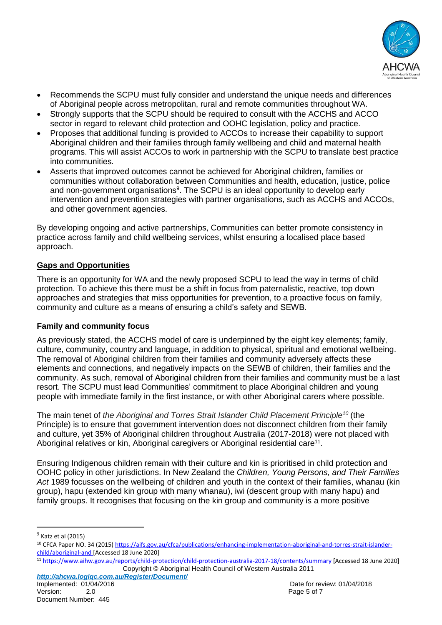

- Recommends the SCPU must fully consider and understand the unique needs and differences of Aboriginal people across metropolitan, rural and remote communities throughout WA.
- Strongly supports that the SCPU should be required to consult with the ACCHS and ACCO sector in regard to relevant child protection and OOHC legislation, policy and practice.
- Proposes that additional funding is provided to ACCOs to increase their capability to support Aboriginal children and their families through family wellbeing and child and maternal health programs. This will assist ACCOs to work in partnership with the SCPU to translate best practice into communities.
- Asserts that improved outcomes cannot be achieved for Aboriginal children, families or communities without collaboration between Communities and health, education, justice, police and non-government organisations<sup>9</sup>. The SCPU is an ideal opportunity to develop early intervention and prevention strategies with partner organisations, such as ACCHS and ACCOs, and other government agencies.

By developing ongoing and active partnerships, Communities can better promote consistency in practice across family and child wellbeing services, whilst ensuring a localised place based approach.

# **Gaps and Opportunities**

There is an opportunity for WA and the newly proposed SCPU to lead the way in terms of child protection. To achieve this there must be a shift in focus from paternalistic, reactive, top down approaches and strategies that miss opportunities for prevention, to a proactive focus on family, community and culture as a means of ensuring a child's safety and SEWB.

# **Family and community focus**

As previously stated, the ACCHS model of care is underpinned by the eight key elements; family, culture, community, country and language, in addition to physical, spiritual and emotional wellbeing. The removal of Aboriginal children from their families and community adversely affects these elements and connections, and negatively impacts on the SEWB of children, their families and the community. As such, removal of Aboriginal children from their families and community must be a last resort. The SCPU must lead Communities' commitment to place Aboriginal children and young people with immediate family in the first instance, or with other Aboriginal carers where possible.

The main tenet of *the Aboriginal and Torres Strait Islander Child Placement Principle<sup>10</sup>* (the Principle) is to ensure that government intervention does not disconnect children from their family and culture, yet 35% of Aboriginal children throughout Australia (2017-2018) were not placed with Aboriginal relatives or kin, Aboriginal caregivers or Aboriginal residential care<sup>11</sup>.

Ensuring Indigenous children remain with their culture and kin is prioritised in child protection and OOHC policy in other jurisdictions. In New Zealand the *Children, Young Persons, and Their Families Act* 1989 focusses on the wellbeing of children and youth in the context of their families, whanau (kin group), hapu (extended kin group with many whanau), iwi (descent group with many hapu) and family groups. It recognises that focusing on the kin group and community is a more positive

 $\overline{a}$ 

*http://ahcwa.logiqc.com.au/Register/Document/* Version: 2.0 2.0 Page 5 of 7

<sup>&</sup>lt;sup>9</sup> Katz et al (2015)

<sup>&</sup>lt;sup>10</sup> CFCA Paper NO. 34 (2015) [https://aifs.gov.au/cfca/publications/enhancing-implementation-aboriginal-and-torres-strait-islander](https://aifs.gov.au/cfca/publications/enhancing-implementation-aboriginal-and-torres-strait-islander-child/aboriginal-and)[child/aboriginal-and](https://aifs.gov.au/cfca/publications/enhancing-implementation-aboriginal-and-torres-strait-islander-child/aboriginal-and) [Accessed 18 June 2020]

Copyright © Aboriginal Health Council of Western Australia 2011 <sup>11</sup> <https://www.aihw.gov.au/reports/child-protection/child-protection-australia-2017-18/contents/summary> [Accessed 18 June 2020]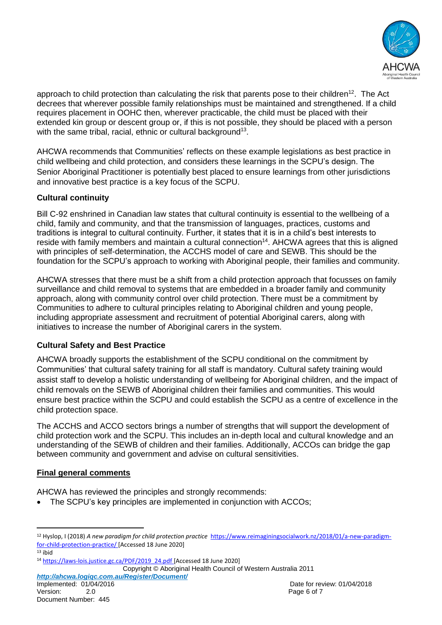

approach to child protection than calculating the risk that parents pose to their children<sup>12</sup>. The Act decrees that wherever possible family relationships must be maintained and strengthened. If a child requires placement in OOHC then, wherever practicable, the child must be placed with their extended kin group or descent group or, if this is not possible, they should be placed with a person with the same tribal, racial, ethnic or cultural background $^{13}$ .

AHCWA recommends that Communities' reflects on these example legislations as best practice in child wellbeing and child protection, and considers these learnings in the SCPU's design. The Senior Aboriginal Practitioner is potentially best placed to ensure learnings from other jurisdictions and innovative best practice is a key focus of the SCPU.

# **Cultural continuity**

Bill C-92 enshrined in Canadian law states that cultural continuity is essential to the wellbeing of a child, family and community, and that the transmission of languages, practices, customs and traditions is integral to cultural continuity. Further, it states that it is in a child's best interests to reside with family members and maintain a cultural connection<sup>14</sup>. AHCWA agrees that this is aligned with principles of self-determination, the ACCHS model of care and SEWB. This should be the foundation for the SCPU's approach to working with Aboriginal people, their families and community.

AHCWA stresses that there must be a shift from a child protection approach that focusses on family surveillance and child removal to systems that are embedded in a broader family and community approach, along with community control over child protection. There must be a commitment by Communities to adhere to cultural principles relating to Aboriginal children and young people, including appropriate assessment and recruitment of potential Aboriginal carers, along with initiatives to increase the number of Aboriginal carers in the system.

# **Cultural Safety and Best Practice**

AHCWA broadly supports the establishment of the SCPU conditional on the commitment by Communities' that cultural safety training for all staff is mandatory. Cultural safety training would assist staff to develop a holistic understanding of wellbeing for Aboriginal children, and the impact of child removals on the SEWB of Aboriginal children their families and communities. This would ensure best practice within the SCPU and could establish the SCPU as a centre of excellence in the child protection space.

The ACCHS and ACCO sectors brings a number of strengths that will support the development of child protection work and the SCPU. This includes an in-depth local and cultural knowledge and an understanding of the SEWB of children and their families. Additionally, ACCOs can bridge the gap between community and government and advise on cultural sensitivities.

# **Final general comments**

AHCWA has reviewed the principles and strongly recommends:

• The SCPU's key principles are implemented in conjunction with ACCOs;

 $\overline{a}$ 

Copyright © Aboriginal Health Council of Western Australia 2011

*http://ahcwa.logiqc.com.au/Register/Document/*

<sup>12</sup> Hyslop, I (2018) *A new paradigm for child protection practice* [https://www.reimaginingsocialwork.nz/2018/01/a-new-paradigm](https://www.reimaginingsocialwork.nz/2018/01/a-new-paradigm-for-child-protection-practice/)[for-child-protection-practice/](https://www.reimaginingsocialwork.nz/2018/01/a-new-paradigm-for-child-protection-practice/) [Accessed 18 June 2020]

 $13$  ibid

<sup>14</sup> [https://laws-lois.justice.gc.ca/PDF/2019\\_24.pdf](https://laws-lois.justice.gc.ca/PDF/2019_24.pdf) [Accessed 18 June 2020]